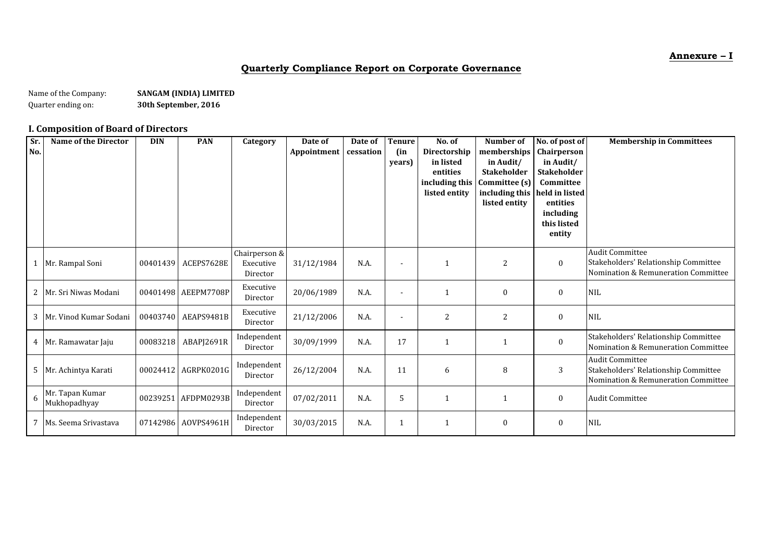**Annexure – I**

# **Quarterly Compliance Report on Corporate Governance**

Name of the Company: **SANGAM (INDIA) LIMITED**<br>Quarter ending on: **S30th September, 2016** 30th September, 2016

# **I. Composition of Board of Directors**

| Sr.<br>No. | <b>Name of the Director</b>     | <b>DIN</b> | <b>PAN</b>          | Category                               | Date of<br>Appointment | Date of<br>cessation | <b>Tenure</b><br>(in<br>years) | No. of<br>Directorship<br>in listed<br>entities<br>including this<br>listed entity | Number of<br>memberships<br>in Audit/<br>Stakeholder<br>Committee (s)<br>including this<br>listed entity | No. of post of<br>Chairperson<br>in Audit/<br><b>Stakeholder</b><br>Committee<br>held in listed<br>entities | <b>Membership in Committees</b>                                                                       |
|------------|---------------------------------|------------|---------------------|----------------------------------------|------------------------|----------------------|--------------------------------|------------------------------------------------------------------------------------|----------------------------------------------------------------------------------------------------------|-------------------------------------------------------------------------------------------------------------|-------------------------------------------------------------------------------------------------------|
|            |                                 |            |                     |                                        |                        |                      |                                |                                                                                    |                                                                                                          | including<br>this listed<br>entity                                                                          |                                                                                                       |
|            | Mr. Rampal Soni                 | 00401439   | ACEPS7628E          | Chairperson &<br>Executive<br>Director | 31/12/1984             | N.A.                 | $\blacksquare$                 | $\mathbf{1}$                                                                       | 2                                                                                                        | $\bf{0}$                                                                                                    | <b>Audit Committee</b><br>Stakeholders' Relationship Committee<br>Nomination & Remuneration Committee |
| 2          | Mr. Sri Niwas Modani            |            | 00401498 AEEPM7708P | Executive<br>Director                  | 20/06/1989             | N.A.                 | ۰                              | $\mathbf 1$                                                                        | 0                                                                                                        | $\bf{0}$                                                                                                    | <b>NIL</b>                                                                                            |
| 3          | Mr. Vinod Kumar Sodani          |            | 00403740 AEAPS9481B | Executive<br>Director                  | 21/12/2006             | N.A.                 | $\overline{a}$                 | $\overline{2}$                                                                     | 2                                                                                                        | $\bf{0}$                                                                                                    | <b>NIL</b>                                                                                            |
|            | 4 Mr. Ramawatar Jaju            | 00083218   | ABAPI2691R          | Independent<br>Director                | 30/09/1999             | N.A.                 | 17                             | $\mathbf{1}$                                                                       |                                                                                                          | $\mathbf{0}$                                                                                                | Stakeholders' Relationship Committee<br>Nomination & Remuneration Committee                           |
| 5          | Mr. Achintya Karati             |            | 00024412 AGRPK0201G | Independent<br>Director                | 26/12/2004             | N.A.                 | 11                             | 6                                                                                  | 8                                                                                                        | 3                                                                                                           | <b>Audit Committee</b><br>Stakeholders' Relationship Committee<br>Nomination & Remuneration Committee |
| 6          | Mr. Tapan Kumar<br>Mukhopadhyay |            | 00239251 AFDPM0293B | Independent<br>Director                | 07/02/2011             | N.A.                 | 5                              | 1                                                                                  |                                                                                                          | $\bf{0}$                                                                                                    | <b>Audit Committee</b>                                                                                |
|            | 7 Ms. Seema Srivastava          |            | 07142986 AOVPS4961H | Independent<br>Director                | 30/03/2015             | N.A.                 |                                | $\mathbf 1$                                                                        | 0                                                                                                        | $\bf{0}$                                                                                                    | <b>NIL</b>                                                                                            |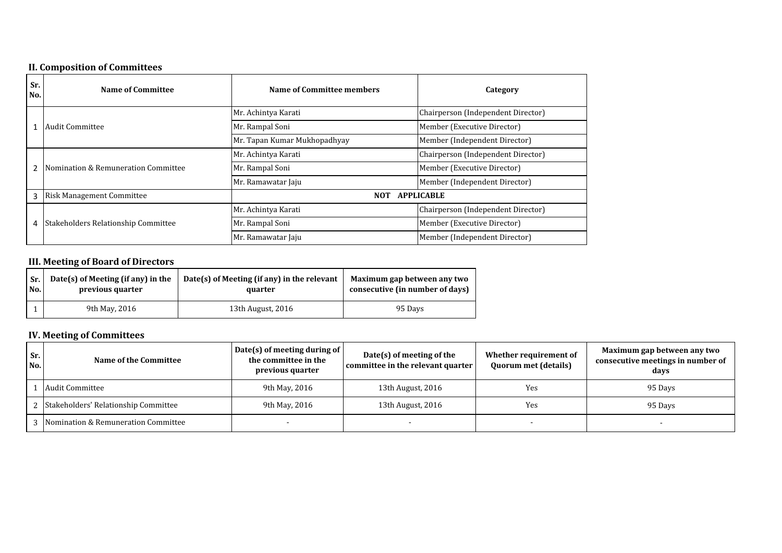# **II. Composition of Committees**

| Sr.<br>No. | <b>Name of Committee</b>            | Name of Committee members    | Category                           |
|------------|-------------------------------------|------------------------------|------------------------------------|
|            |                                     | Mr. Achintya Karati          | Chairperson (Independent Director) |
|            | Audit Committee                     | Mr. Rampal Soni              | Member (Executive Director)        |
|            |                                     | Mr. Tapan Kumar Mukhopadhyay | Member (Independent Director)      |
|            |                                     | Mr. Achintya Karati          | Chairperson (Independent Director) |
| 2          | Nomination & Remuneration Committee | Mr. Rampal Soni              | Member (Executive Director)        |
|            |                                     | Mr. Ramawatar Jaju           | Member (Independent Director)      |
| 3          | <b>Risk Management Committee</b>    | <b>NOT</b>                   | <b>APPLICABLE</b>                  |
|            |                                     | Mr. Achintya Karati          | Chairperson (Independent Director) |
| 4          | Stakeholders Relationship Committee | Mr. Rampal Soni              | Member (Executive Director)        |
|            |                                     | Mr. Ramawatar Jaju           | Member (Independent Director)      |

# **III. Meeting of Board of Directors**

| Sr. | Date(s) of Meeting (if any) in the | Date(s) of Meeting (if any) in the relevant | Maximum gap between any two     |  |
|-----|------------------------------------|---------------------------------------------|---------------------------------|--|
| No. | previous quarter                   | quarter                                     | consecutive (in number of days) |  |
|     | 9th May, 2016                      | 13th August, 2016                           |                                 |  |

# **IV. Meeting of Committees**

| Sr.<br>No. | Name of the Committee                  | Date(s) of meeting during of<br>the committee in the<br>previous quarter | $Date(s)$ of meeting of the<br>committee in the relevant quarter | Whether requirement of<br><b>Quorum met (details)</b> | Maximum gap between any two<br>consecutive meetings in number of<br>days |
|------------|----------------------------------------|--------------------------------------------------------------------------|------------------------------------------------------------------|-------------------------------------------------------|--------------------------------------------------------------------------|
|            | Audit Committee                        | 9th May, 2016                                                            | 13th August, 2016                                                | Yes                                                   | 95 Days                                                                  |
|            | 2 Stakeholders' Relationship Committee | 9th May, 2016                                                            | 13th August, 2016                                                | Yes                                                   | 95 Davs                                                                  |
|            | 3 Nomination & Remuneration Committee  |                                                                          |                                                                  |                                                       |                                                                          |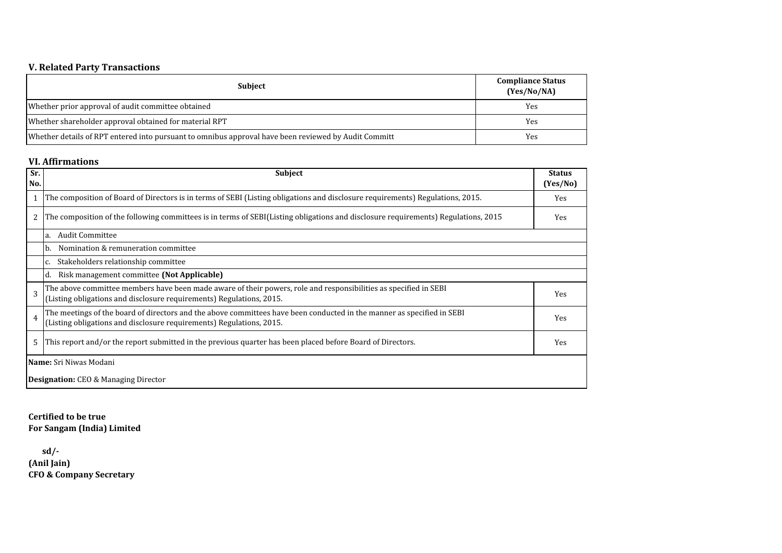# **V. Related Party Transactions**

| <b>Subject</b>                                                                                       | <b>Compliance Status</b><br>(Yes/No/NA) |
|------------------------------------------------------------------------------------------------------|-----------------------------------------|
| Whether prior approval of audit committee obtained                                                   | Yes                                     |
| Whether shareholder approval obtained for material RPT                                               | Yes                                     |
| Whether details of RPT entered into pursuant to omnibus approval have been reviewed by Audit Committ | Yes                                     |

#### **VI. Affirmations**

| Sr.<br>No.     | <b>Subject</b>                                                                                                                                                                                 | <b>Status</b><br>(Yes/No) |
|----------------|------------------------------------------------------------------------------------------------------------------------------------------------------------------------------------------------|---------------------------|
|                | The composition of Board of Directors is in terms of SEBI (Listing obligations and disclosure requirements) Regulations, 2015.                                                                 | Yes                       |
| 2              | The composition of the following committees is in terms of SEBI(Listing obligations and disclosure requirements) Regulations, 2015                                                             | Yes                       |
|                | Audit Committee<br>la.                                                                                                                                                                         |                           |
|                | Nomination & remuneration committee<br>b.                                                                                                                                                      |                           |
|                | Stakeholders relationship committee<br>C.                                                                                                                                                      |                           |
|                | Risk management committee (Not Applicable)                                                                                                                                                     |                           |
| 3              | The above committee members have been made aware of their powers, role and responsibilities as specified in SEBI<br>(Listing obligations and disclosure requirements) Regulations, 2015.       | Yes                       |
| $\overline{4}$ | The meetings of the board of directors and the above committees have been conducted in the manner as specified in SEBI<br>(Listing obligations and disclosure requirements) Regulations, 2015. | Yes                       |
| 5              | This report and/or the report submitted in the previous quarter has been placed before Board of Directors.                                                                                     | Yes                       |
|                | Name: Sri Niwas Modani                                                                                                                                                                         |                           |
|                | <b>Designation:</b> CEO & Managing Director                                                                                                                                                    |                           |

**For Sangam (India) Limited Certified to be true**

 **sd/- (Anil Jain) CFO & Company Secretary**